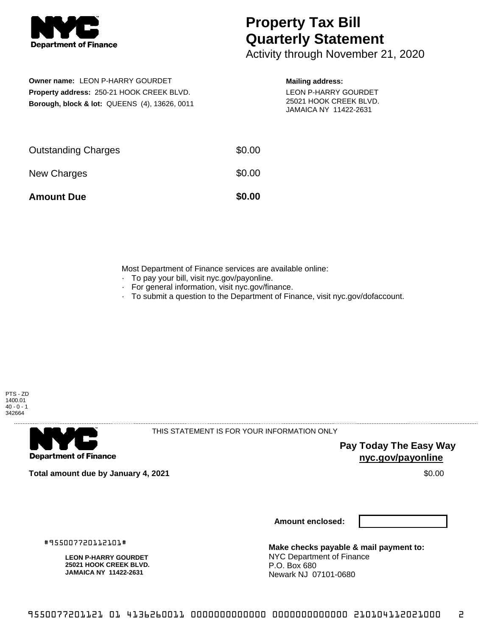

## **Property Tax Bill Quarterly Statement**

Activity through November 21, 2020

**Owner name:** LEON P-HARRY GOURDET **Property address:** 250-21 HOOK CREEK BLVD. **Borough, block & lot:** QUEENS (4), 13626, 0011

## **Mailing address:**

LEON P-HARRY GOURDET 25021 HOOK CREEK BLVD. JAMAICA NY 11422-2631

| <b>Amount Due</b>          | \$0.00 |
|----------------------------|--------|
| New Charges                | \$0.00 |
| <b>Outstanding Charges</b> | \$0.00 |

Most Department of Finance services are available online:

- · To pay your bill, visit nyc.gov/payonline.
- For general information, visit nyc.gov/finance.
- · To submit a question to the Department of Finance, visit nyc.gov/dofaccount.



. . . . . . . . . . . . . . . .

**Department of Finance** 

THIS STATEMENT IS FOR YOUR INFORMATION ONLY

**Pay Today The Easy Way nyc.gov/payonline**

**Total amount due by January 4, 2021** \$0.00

**LEON P-HARRY GOURDET 25021 HOOK CREEK BLVD. JAMAICA NY 11422-2631**

#955007720112101#

**Amount enclosed:**

**Make checks payable & mail payment to:** NYC Department of Finance P.O. Box 680 Newark NJ 07101-0680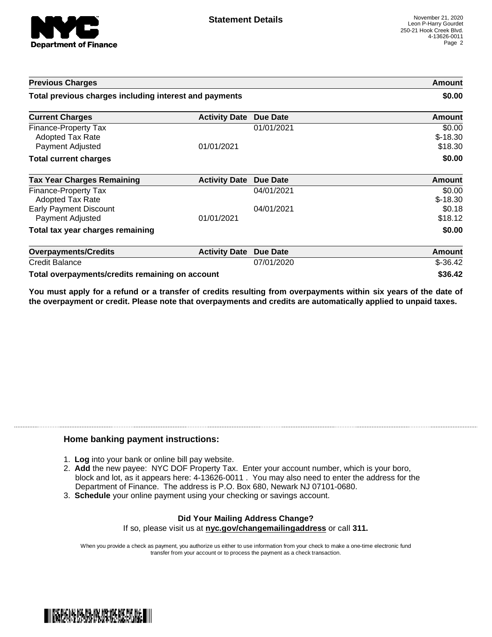

| <b>Previous Charges</b>                                             |                      | Amount<br>\$0.00 |                                |
|---------------------------------------------------------------------|----------------------|------------------|--------------------------------|
| Total previous charges including interest and payments              |                      |                  |                                |
| <b>Current Charges</b>                                              | <b>Activity Date</b> | <b>Due Date</b>  | Amount                         |
| Finance-Property Tax<br><b>Adopted Tax Rate</b><br>Payment Adjusted | 01/01/2021           | 01/01/2021       | \$0.00<br>$$-18.30$<br>\$18.30 |
| <b>Total current charges</b>                                        |                      |                  | \$0.00                         |
| <b>Tax Year Charges Remaining</b>                                   | <b>Activity Date</b> | <b>Due Date</b>  | <b>Amount</b>                  |
| Finance-Property Tax<br><b>Adopted Tax Rate</b>                     |                      | 04/01/2021       | \$0.00<br>$$-18.30$            |
| <b>Early Payment Discount</b><br>Payment Adjusted                   | 01/01/2021           | 04/01/2021       | \$0.18<br>\$18.12              |
| Total tax year charges remaining                                    |                      |                  | \$0.00                         |
| <b>Overpayments/Credits</b>                                         | <b>Activity Date</b> | Due Date         | Amount                         |
| <b>Credit Balance</b>                                               |                      | 07/01/2020       | $$-36.42$                      |
| Total overpayments/credits remaining on account                     |                      |                  | \$36.42                        |

You must apply for a refund or a transfer of credits resulting from overpayments within six years of the date of **the overpayment or credit. Please note that overpayments and credits are automatically applied to unpaid taxes.**

## **Home banking payment instructions:**

- 1. **Log** into your bank or online bill pay website.
- 2. **Add** the new payee: NYC DOF Property Tax. Enter your account number, which is your boro, block and lot, as it appears here: 4-13626-0011 . You may also need to enter the address for the Department of Finance. The address is P.O. Box 680, Newark NJ 07101-0680.
- 3. **Schedule** your online payment using your checking or savings account.

## **Did Your Mailing Address Change?** If so, please visit us at **nyc.gov/changemailingaddress** or call **311.**

When you provide a check as payment, you authorize us either to use information from your check to make a one-time electronic fund transfer from your account or to process the payment as a check transaction.